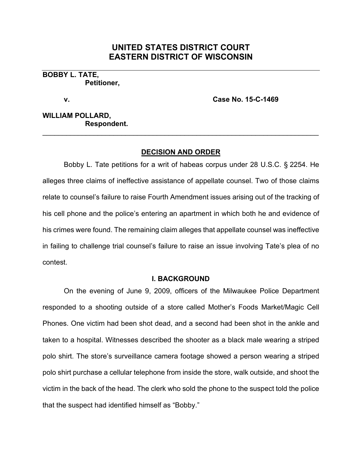# **UNITED STATES DISTRICT COURT EASTERN DISTRICT OF WISCONSIN**

**BOBBY L. TATE, Petitioner,**

**v. Case No. 15-C-1469**

**WILLIAM POLLARD, Respondent.**

## **DECISION AND ORDER**

\_\_\_\_\_\_\_\_\_\_\_\_\_\_\_\_\_\_\_\_\_\_\_\_\_\_\_\_\_\_\_\_\_\_\_\_\_\_\_\_\_\_\_\_\_\_\_\_\_\_\_\_\_\_\_\_\_\_\_\_\_\_\_\_\_\_\_\_\_\_

Bobby L. Tate petitions for a writ of habeas corpus under 28 U.S.C. § 2254. He alleges three claims of ineffective assistance of appellate counsel. Two of those claims relate to counsel's failure to raise Fourth Amendment issues arising out of the tracking of his cell phone and the police's entering an apartment in which both he and evidence of his crimes were found. The remaining claim alleges that appellate counsel was ineffective in failing to challenge trial counsel's failure to raise an issue involving Tate's plea of no contest.

### **I. BACKGROUND**

On the evening of June 9, 2009, officers of the Milwaukee Police Department responded to a shooting outside of a store called Mother's Foods Market/Magic Cell Phones. One victim had been shot dead, and a second had been shot in the ankle and taken to a hospital. Witnesses described the shooter as a black male wearing a striped polo shirt. The store's surveillance camera footage showed a person wearing a striped polo shirt purchase a cellular telephone from inside the store, walk outside, and shoot the victim in the back of the head. The clerk who sold the phone to the suspect told the police that the suspect had identified himself as "Bobby."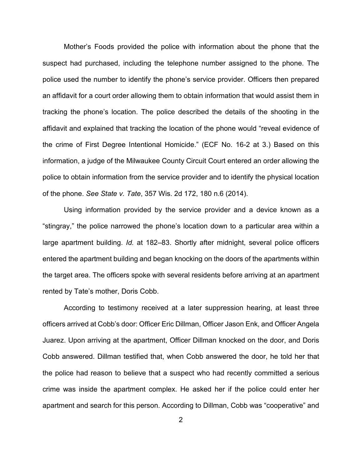Mother's Foods provided the police with information about the phone that the suspect had purchased, including the telephone number assigned to the phone. The police used the number to identify the phone's service provider. Officers then prepared an affidavit for a court order allowing them to obtain information that would assist them in tracking the phone's location. The police described the details of the shooting in the affidavit and explained that tracking the location of the phone would "reveal evidence of the crime of First Degree Intentional Homicide." (ECF No. 16-2 at 3.) Based on this information, a judge of the Milwaukee County Circuit Court entered an order allowing the police to obtain information from the service provider and to identify the physical location of the phone. *See State v. Tate*, 357 Wis. 2d 172, 180 n.6 (2014).

Using information provided by the service provider and a device known as a "stingray," the police narrowed the phone's location down to a particular area within a large apartment building. *Id.* at 182–83. Shortly after midnight, several police officers entered the apartment building and began knocking on the doors of the apartments within the target area. The officers spoke with several residents before arriving at an apartment rented by Tate's mother, Doris Cobb.

According to testimony received at a later suppression hearing, at least three officers arrived at Cobb's door: Officer Eric Dillman, Officer Jason Enk, and Officer Angela Juarez. Upon arriving at the apartment, Officer Dillman knocked on the door, and Doris Cobb answered. Dillman testified that, when Cobb answered the door, he told her that the police had reason to believe that a suspect who had recently committed a serious crime was inside the apartment complex. He asked her if the police could enter her apartment and search for this person. According to Dillman, Cobb was "cooperative" and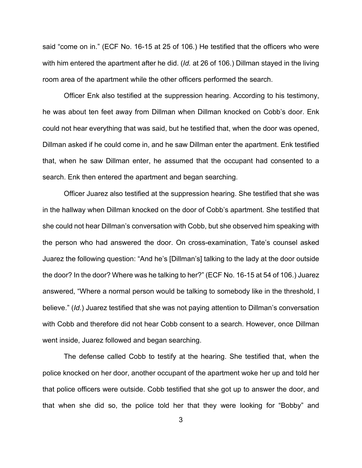said "come on in." (ECF No. 16-15 at 25 of 106.) He testified that the officers who were with him entered the apartment after he did. (*Id.* at 26 of 106.) Dillman stayed in the living room area of the apartment while the other officers performed the search.

Officer Enk also testified at the suppression hearing. According to his testimony, he was about ten feet away from Dillman when Dillman knocked on Cobb's door. Enk could not hear everything that was said, but he testified that, when the door was opened, Dillman asked if he could come in, and he saw Dillman enter the apartment. Enk testified that, when he saw Dillman enter, he assumed that the occupant had consented to a search. Enk then entered the apartment and began searching.

Officer Juarez also testified at the suppression hearing. She testified that she was in the hallway when Dillman knocked on the door of Cobb's apartment. She testified that she could not hear Dillman's conversation with Cobb, but she observed him speaking with the person who had answered the door. On cross-examination, Tate's counsel asked Juarez the following question: "And he's [Dillman's] talking to the lady at the door outside the door? In the door? Where was he talking to her?" (ECF No. 16-15 at 54 of 106.) Juarez answered, "Where a normal person would be talking to somebody like in the threshold, I believe." (*Id.*) Juarez testified that she was not paying attention to Dillman's conversation with Cobb and therefore did not hear Cobb consent to a search. However, once Dillman went inside, Juarez followed and began searching.

The defense called Cobb to testify at the hearing. She testified that, when the police knocked on her door, another occupant of the apartment woke her up and told her that police officers were outside. Cobb testified that she got up to answer the door, and that when she did so, the police told her that they were looking for "Bobby" and

3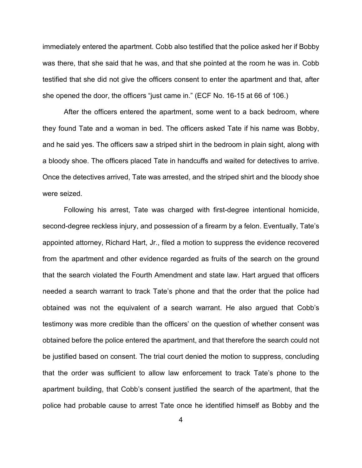immediately entered the apartment. Cobb also testified that the police asked her if Bobby was there, that she said that he was, and that she pointed at the room he was in. Cobb testified that she did not give the officers consent to enter the apartment and that, after she opened the door, the officers "just came in." (ECF No. 16-15 at 66 of 106.)

After the officers entered the apartment, some went to a back bedroom, where they found Tate and a woman in bed. The officers asked Tate if his name was Bobby, and he said yes. The officers saw a striped shirt in the bedroom in plain sight, along with a bloody shoe. The officers placed Tate in handcuffs and waited for detectives to arrive. Once the detectives arrived, Tate was arrested, and the striped shirt and the bloody shoe were seized.

Following his arrest, Tate was charged with first-degree intentional homicide, second-degree reckless injury, and possession of a firearm by a felon. Eventually, Tate's appointed attorney, Richard Hart, Jr., filed a motion to suppress the evidence recovered from the apartment and other evidence regarded as fruits of the search on the ground that the search violated the Fourth Amendment and state law. Hart argued that officers needed a search warrant to track Tate's phone and that the order that the police had obtained was not the equivalent of a search warrant. He also argued that Cobb's testimony was more credible than the officers' on the question of whether consent was obtained before the police entered the apartment, and that therefore the search could not be justified based on consent. The trial court denied the motion to suppress, concluding that the order was sufficient to allow law enforcement to track Tate's phone to the apartment building, that Cobb's consent justified the search of the apartment, that the police had probable cause to arrest Tate once he identified himself as Bobby and the

4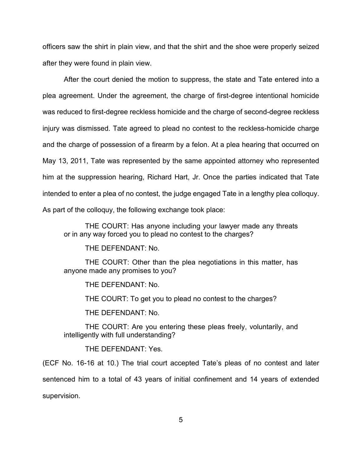officers saw the shirt in plain view, and that the shirt and the shoe were properly seized after they were found in plain view.

After the court denied the motion to suppress, the state and Tate entered into a plea agreement. Under the agreement, the charge of first-degree intentional homicide was reduced to first-degree reckless homicide and the charge of second-degree reckless injury was dismissed. Tate agreed to plead no contest to the reckless-homicide charge and the charge of possession of a firearm by a felon. At a plea hearing that occurred on May 13, 2011, Tate was represented by the same appointed attorney who represented him at the suppression hearing, Richard Hart, Jr. Once the parties indicated that Tate intended to enter a plea of no contest, the judge engaged Tate in a lengthy plea colloquy. As part of the colloquy, the following exchange took place:

THE COURT: Has anyone including your lawyer made any threats or in any way forced you to plead no contest to the charges?

THE DEFENDANT: No.

THE COURT: Other than the plea negotiations in this matter, has anyone made any promises to you?

THE DEFENDANT: No.

THE COURT: To get you to plead no contest to the charges?

THE DEFENDANT: No.

THE COURT: Are you entering these pleas freely, voluntarily, and intelligently with full understanding?

THE DEFENDANT: Yes.

(ECF No. 16-16 at 10.) The trial court accepted Tate's pleas of no contest and later sentenced him to a total of 43 years of initial confinement and 14 years of extended supervision.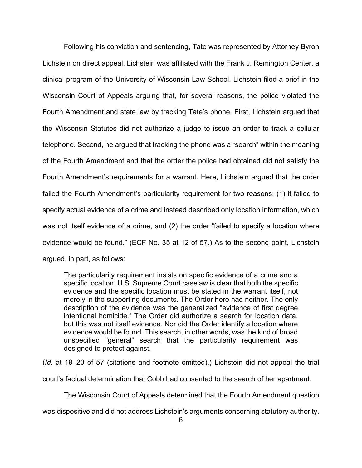Following his conviction and sentencing, Tate was represented by Attorney Byron Lichstein on direct appeal. Lichstein was affiliated with the Frank J. Remington Center, a clinical program of the University of Wisconsin Law School. Lichstein filed a brief in the Wisconsin Court of Appeals arguing that, for several reasons, the police violated the Fourth Amendment and state law by tracking Tate's phone. First, Lichstein argued that the Wisconsin Statutes did not authorize a judge to issue an order to track a cellular telephone. Second, he argued that tracking the phone was a "search" within the meaning of the Fourth Amendment and that the order the police had obtained did not satisfy the Fourth Amendment's requirements for a warrant. Here, Lichstein argued that the order failed the Fourth Amendment's particularity requirement for two reasons: (1) it failed to specify actual evidence of a crime and instead described only location information, which was not itself evidence of a crime, and (2) the order "failed to specify a location where evidence would be found." (ECF No. 35 at 12 of 57.) As to the second point, Lichstein argued, in part, as follows:

The particularity requirement insists on specific evidence of a crime and a specific location. U.S. Supreme Court caselaw is clear that both the specific evidence and the specific location must be stated in the warrant itself, not merely in the supporting documents. The Order here had neither. The only description of the evidence was the generalized "evidence of first degree intentional homicide." The Order did authorize a search for location data, but this was not itself evidence. Nor did the Order identify a location where evidence would be found. This search, in other words, was the kind of broad unspecified "general" search that the particularity requirement was designed to protect against.

(*Id.* at 19–20 of 57 (citations and footnote omitted).) Lichstein did not appeal the trial

court's factual determination that Cobb had consented to the search of her apartment.

The Wisconsin Court of Appeals determined that the Fourth Amendment question

was dispositive and did not address Lichstein's arguments concerning statutory authority.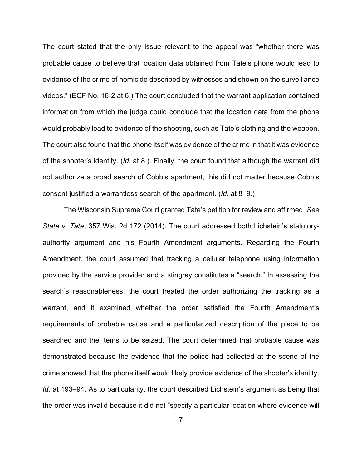The court stated that the only issue relevant to the appeal was "whether there was probable cause to believe that location data obtained from Tate's phone would lead to evidence of the crime of homicide described by witnesses and shown on the surveillance videos." (ECF No. 16-2 at 6.) The court concluded that the warrant application contained information from which the judge could conclude that the location data from the phone would probably lead to evidence of the shooting, such as Tate's clothing and the weapon. The court also found that the phone itself was evidence of the crime in that it was evidence of the shooter's identity. (*Id.* at 8.). Finally, the court found that although the warrant did not authorize a broad search of Cobb's apartment, this did not matter because Cobb's consent justified a warrantless search of the apartment. (*Id.* at 8–9.)

The Wisconsin Supreme Court granted Tate's petition for review and affirmed. *See State v. Tate*, 357 Wis. 2d 172 (2014). The court addressed both Lichstein's statutoryauthority argument and his Fourth Amendment arguments. Regarding the Fourth Amendment, the court assumed that tracking a cellular telephone using information provided by the service provider and a stingray constitutes a "search." In assessing the search's reasonableness, the court treated the order authorizing the tracking as a warrant, and it examined whether the order satisfied the Fourth Amendment's requirements of probable cause and a particularized description of the place to be searched and the items to be seized. The court determined that probable cause was demonstrated because the evidence that the police had collected at the scene of the crime showed that the phone itself would likely provide evidence of the shooter's identity. *Id.* at 193–94. As to particularity, the court described Lichstein's argument as being that the order was invalid because it did not "specify a particular location where evidence will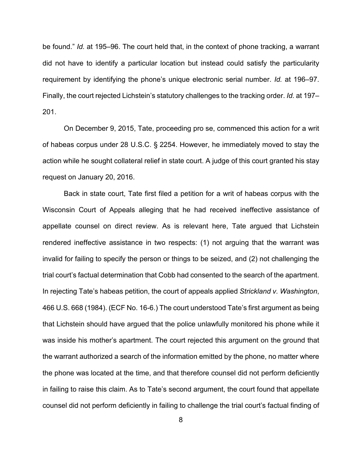be found." *Id.* at 195–96. The court held that, in the context of phone tracking, a warrant did not have to identify a particular location but instead could satisfy the particularity requirement by identifying the phone's unique electronic serial number. *Id.* at 196–97. Finally, the court rejected Lichstein's statutory challenges to the tracking order. *Id.* at 197– 201.

On December 9, 2015, Tate, proceeding pro se, commenced this action for a writ of habeas corpus under 28 U.S.C. § 2254. However, he immediately moved to stay the action while he sought collateral relief in state court. A judge of this court granted his stay request on January 20, 2016.

Back in state court, Tate first filed a petition for a writ of habeas corpus with the Wisconsin Court of Appeals alleging that he had received ineffective assistance of appellate counsel on direct review. As is relevant here, Tate argued that Lichstein rendered ineffective assistance in two respects: (1) not arguing that the warrant was invalid for failing to specify the person or things to be seized, and (2) not challenging the trial court's factual determination that Cobb had consented to the search of the apartment. In rejecting Tate's habeas petition, the court of appeals applied *Strickland v. Washington*, 466 U.S. 668 (1984). (ECF No. 16-6.) The court understood Tate's first argument as being that Lichstein should have argued that the police unlawfully monitored his phone while it was inside his mother's apartment. The court rejected this argument on the ground that the warrant authorized a search of the information emitted by the phone, no matter where the phone was located at the time, and that therefore counsel did not perform deficiently in failing to raise this claim. As to Tate's second argument, the court found that appellate counsel did not perform deficiently in failing to challenge the trial court's factual finding of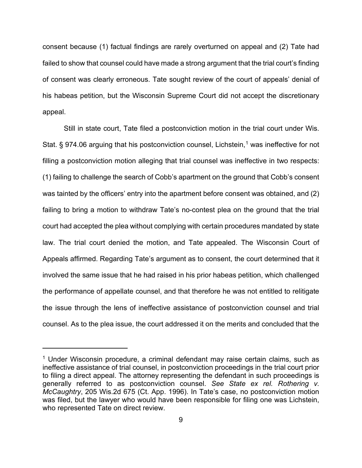consent because (1) factual findings are rarely overturned on appeal and (2) Tate had failed to show that counsel could have made a strong argument that the trial court's finding of consent was clearly erroneous. Tate sought review of the court of appeals' denial of his habeas petition, but the Wisconsin Supreme Court did not accept the discretionary appeal.

Still in state court, Tate filed a postconviction motion in the trial court under Wis. Stat. § 974.06 arguing that his postconviction counsel, Lichstein,<sup>[1](#page-8-0)</sup> was ineffective for not filling a postconviction motion alleging that trial counsel was ineffective in two respects: (1) failing to challenge the search of Cobb's apartment on the ground that Cobb's consent was tainted by the officers' entry into the apartment before consent was obtained, and (2) failing to bring a motion to withdraw Tate's no-contest plea on the ground that the trial court had accepted the plea without complying with certain procedures mandated by state law. The trial court denied the motion, and Tate appealed. The Wisconsin Court of Appeals affirmed. Regarding Tate's argument as to consent, the court determined that it involved the same issue that he had raised in his prior habeas petition, which challenged the performance of appellate counsel, and that therefore he was not entitled to relitigate the issue through the lens of ineffective assistance of postconviction counsel and trial counsel. As to the plea issue, the court addressed it on the merits and concluded that the

<span id="page-8-0"></span><sup>&</sup>lt;sup>1</sup> Under Wisconsin procedure, a criminal defendant may raise certain claims, such as ineffective assistance of trial counsel, in postconviction proceedings in the trial court prior to filing a direct appeal. The attorney representing the defendant in such proceedings is generally referred to as postconviction counsel. *See State ex rel. Rothering v. McCaughtry*, 205 Wis.2d 675 (Ct. App. 1996). In Tate's case, no postconviction motion was filed, but the lawyer who would have been responsible for filing one was Lichstein, who represented Tate on direct review.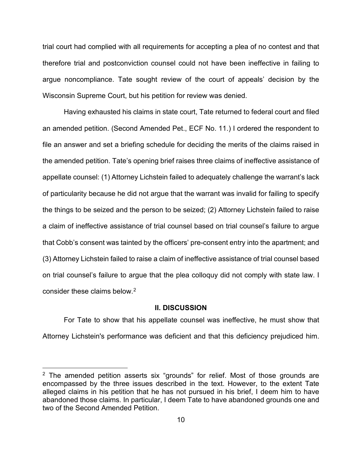trial court had complied with all requirements for accepting a plea of no contest and that therefore trial and postconviction counsel could not have been ineffective in failing to argue noncompliance. Tate sought review of the court of appeals' decision by the Wisconsin Supreme Court, but his petition for review was denied.

Having exhausted his claims in state court, Tate returned to federal court and filed an amended petition. (Second Amended Pet., ECF No. 11.) I ordered the respondent to file an answer and set a briefing schedule for deciding the merits of the claims raised in the amended petition. Tate's opening brief raises three claims of ineffective assistance of appellate counsel: (1) Attorney Lichstein failed to adequately challenge the warrant's lack of particularity because he did not argue that the warrant was invalid for failing to specify the things to be seized and the person to be seized; (2) Attorney Lichstein failed to raise a claim of ineffective assistance of trial counsel based on trial counsel's failure to argue that Cobb's consent was tainted by the officers' pre-consent entry into the apartment; and (3) Attorney Lichstein failed to raise a claim of ineffective assistance of trial counsel based on trial counsel's failure to argue that the plea colloquy did not comply with state law. I consider these claims below.[2](#page-9-0)

#### **II. DISCUSSION**

For Tate to show that his appellate counsel was ineffective, he must show that Attorney Lichstein's performance was deficient and that this deficiency prejudiced him.

<span id="page-9-0"></span> $2$  The amended petition asserts six "grounds" for relief. Most of those grounds are encompassed by the three issues described in the text. However, to the extent Tate alleged claims in his petition that he has not pursued in his brief, I deem him to have abandoned those claims. In particular, I deem Tate to have abandoned grounds one and two of the Second Amended Petition.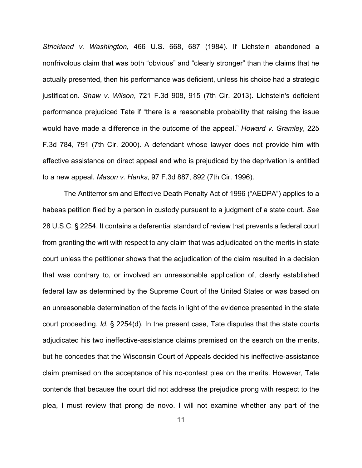*Strickland v. Washington*, 466 U.S. 668, 687 (1984). If Lichstein abandoned a nonfrivolous claim that was both "obvious" and "clearly stronger" than the claims that he actually presented, then his performance was deficient, unless his choice had a strategic justification. *Shaw v. Wilson*, 721 F.3d 908, 915 (7th Cir. 2013). Lichstein's deficient performance prejudiced Tate if "there is a reasonable probability that raising the issue would have made a difference in the outcome of the appeal." *Howard v. Gramley*, 225 F.3d 784, 791 (7th Cir. 2000). A defendant whose lawyer does not provide him with effective assistance on direct appeal and who is prejudiced by the deprivation is entitled to a new appeal. *Mason v. Hanks*, 97 F.3d 887, 892 (7th Cir. 1996).

The Antiterrorism and Effective Death Penalty Act of 1996 ("AEDPA") applies to a habeas petition filed by a person in custody pursuant to a judgment of a state court. *See* 28 U.S.C. § 2254. It contains a deferential standard of review that prevents a federal court from granting the writ with respect to any claim that was adjudicated on the merits in state court unless the petitioner shows that the adjudication of the claim resulted in a decision that was contrary to, or involved an unreasonable application of, clearly established federal law as determined by the Supreme Court of the United States or was based on an unreasonable determination of the facts in light of the evidence presented in the state court proceeding. *Id.* § 2254(d). In the present case, Tate disputes that the state courts adjudicated his two ineffective-assistance claims premised on the search on the merits, but he concedes that the Wisconsin Court of Appeals decided his ineffective-assistance claim premised on the acceptance of his no-contest plea on the merits. However, Tate contends that because the court did not address the prejudice prong with respect to the plea, I must review that prong de novo. I will not examine whether any part of the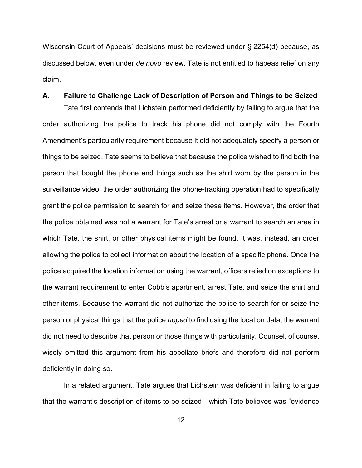Wisconsin Court of Appeals' decisions must be reviewed under § 2254(d) because, as discussed below, even under *de novo* review, Tate is not entitled to habeas relief on any claim.

## **A. Failure to Challenge Lack of Description of Person and Things to be Seized**

Tate first contends that Lichstein performed deficiently by failing to argue that the order authorizing the police to track his phone did not comply with the Fourth Amendment's particularity requirement because it did not adequately specify a person or things to be seized. Tate seems to believe that because the police wished to find both the person that bought the phone and things such as the shirt worn by the person in the surveillance video, the order authorizing the phone-tracking operation had to specifically grant the police permission to search for and seize these items. However, the order that the police obtained was not a warrant for Tate's arrest or a warrant to search an area in which Tate, the shirt, or other physical items might be found. It was, instead, an order allowing the police to collect information about the location of a specific phone. Once the police acquired the location information using the warrant, officers relied on exceptions to the warrant requirement to enter Cobb's apartment, arrest Tate, and seize the shirt and other items. Because the warrant did not authorize the police to search for or seize the person or physical things that the police *hoped* to find using the location data, the warrant did not need to describe that person or those things with particularity. Counsel, of course, wisely omitted this argument from his appellate briefs and therefore did not perform deficiently in doing so.

In a related argument, Tate argues that Lichstein was deficient in failing to argue that the warrant's description of items to be seized—which Tate believes was "evidence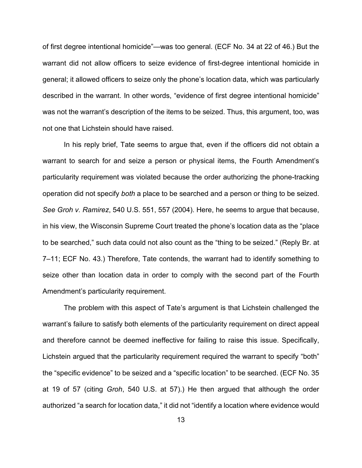of first degree intentional homicide"—was too general. (ECF No. 34 at 22 of 46.) But the warrant did not allow officers to seize evidence of first-degree intentional homicide in general; it allowed officers to seize only the phone's location data, which was particularly described in the warrant. In other words, "evidence of first degree intentional homicide" was not the warrant's description of the items to be seized. Thus, this argument, too, was not one that Lichstein should have raised.

In his reply brief, Tate seems to argue that, even if the officers did not obtain a warrant to search for and seize a person or physical items, the Fourth Amendment's particularity requirement was violated because the order authorizing the phone-tracking operation did not specify *both* a place to be searched and a person or thing to be seized. *See Groh v. Ramirez*, 540 U.S. 551, 557 (2004). Here, he seems to argue that because, in his view, the Wisconsin Supreme Court treated the phone's location data as the "place to be searched," such data could not also count as the "thing to be seized." (Reply Br. at 7–11; ECF No. 43.) Therefore, Tate contends, the warrant had to identify something to seize other than location data in order to comply with the second part of the Fourth Amendment's particularity requirement.

The problem with this aspect of Tate's argument is that Lichstein challenged the warrant's failure to satisfy both elements of the particularity requirement on direct appeal and therefore cannot be deemed ineffective for failing to raise this issue. Specifically, Lichstein argued that the particularity requirement required the warrant to specify "both" the "specific evidence" to be seized and a "specific location" to be searched. (ECF No. 35 at 19 of 57 (citing *Groh*, 540 U.S. at 57).) He then argued that although the order authorized "a search for location data," it did not "identify a location where evidence would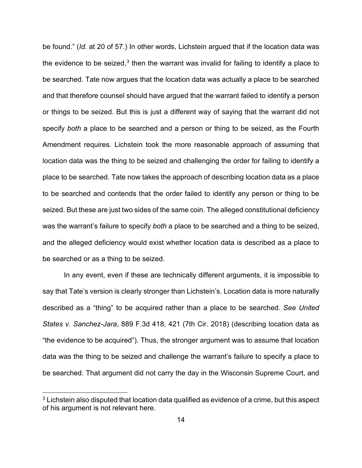be found." (*Id.* at 20 of 57.) In other words, Lichstein argued that if the location data was the evidence to be seized, $3$  then the warrant was invalid for failing to identify a place to be searched. Tate now argues that the location data was actually a place to be searched and that therefore counsel should have argued that the warrant failed to identify a person or things to be seized. But this is just a different way of saying that the warrant did not specify *both* a place to be searched and a person or thing to be seized, as the Fourth Amendment requires. Lichstein took the more reasonable approach of assuming that location data was the thing to be seized and challenging the order for failing to identify a place to be searched. Tate now takes the approach of describing location data as a place to be searched and contends that the order failed to identify any person or thing to be seized. But these are just two sides of the same coin. The alleged constitutional deficiency was the warrant's failure to specify *both* a place to be searched and a thing to be seized, and the alleged deficiency would exist whether location data is described as a place to be searched or as a thing to be seized.

In any event, even if these are technically different arguments, it is impossible to say that Tate's version is clearly stronger than Lichstein's. Location data is more naturally described as a "thing" to be acquired rather than a place to be searched. *See United States v. Sanchez-Jara*, 889 F.3d 418, 421 (7th Cir. 2018) (describing location data as "the evidence to be acquired"). Thus, the stronger argument was to assume that location data was the thing to be seized and challenge the warrant's failure to specify a place to be searched. That argument did not carry the day in the Wisconsin Supreme Court, and

<span id="page-13-0"></span> $3$  Lichstein also disputed that location data qualified as evidence of a crime, but this aspect of his argument is not relevant here.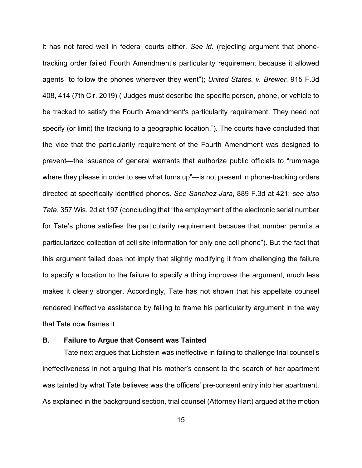it has not fared well in federal courts either. *See id.* (rejecting argument that phonetracking order failed Fourth Amendment's particularity requirement because it allowed agents "to follow the phones wherever they went"); *United States. v. Brewer*, 915 F.3d 408, 414 (7th Cir. 2019) ("Judges must describe the specific person, phone, or vehicle to be tracked to satisfy the Fourth Amendment's particularity requirement. They need not specify (or limit) the tracking to a geographic location."). The courts have concluded that the vice that the particularity requirement of the Fourth Amendment was designed to prevent—the issuance of general warrants that authorize public officials to "rummage where they please in order to see what turns up"—is not present in phone-tracking orders directed at specifically identified phones. *See Sanchez-Jara*, 889 F.3d at 421; *see also Tate*, 357 Wis. 2d at 197 (concluding that "the employment of the electronic serial number for Tate's phone satisfies the particularity requirement because that number permits a particularized collection of cell site information for only one cell phone"). But the fact that this argument failed does not imply that slightly modifying it from challenging the failure to specify a location to the failure to specify a thing improves the argument, much less makes it clearly stronger. Accordingly, Tate has not shown that his appellate counsel rendered ineffective assistance by failing to frame his particularity argument in the way that Tate now frames it.

## **B. Failure to Argue that Consent was Tainted**

Tate next argues that Lichstein was ineffective in failing to challenge trial counsel's ineffectiveness in not arguing that his mother's consent to the search of her apartment was tainted by what Tate believes was the officers' pre-consent entry into her apartment. As explained in the background section, trial counsel (Attorney Hart) argued at the motion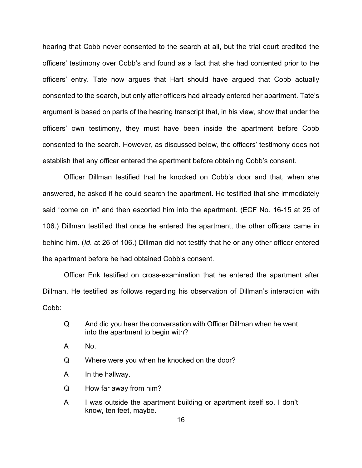hearing that Cobb never consented to the search at all, but the trial court credited the officers' testimony over Cobb's and found as a fact that she had contented prior to the officers' entry. Tate now argues that Hart should have argued that Cobb actually consented to the search, but only after officers had already entered her apartment. Tate's argument is based on parts of the hearing transcript that, in his view, show that under the officers' own testimony, they must have been inside the apartment before Cobb consented to the search. However, as discussed below, the officers' testimony does not establish that any officer entered the apartment before obtaining Cobb's consent.

Officer Dillman testified that he knocked on Cobb's door and that, when she answered, he asked if he could search the apartment. He testified that she immediately said "come on in" and then escorted him into the apartment. (ECF No. 16-15 at 25 of 106.) Dillman testified that once he entered the apartment, the other officers came in behind him. (*Id.* at 26 of 106.) Dillman did not testify that he or any other officer entered the apartment before he had obtained Cobb's consent.

Officer Enk testified on cross-examination that he entered the apartment after Dillman. He testified as follows regarding his observation of Dillman's interaction with Cobb:

- Q And did you hear the conversation with Officer Dillman when he went into the apartment to begin with?
- A No.
- Q Where were you when he knocked on the door?
- A In the hallway.
- Q How far away from him?
- A I was outside the apartment building or apartment itself so, I don't know, ten feet, maybe.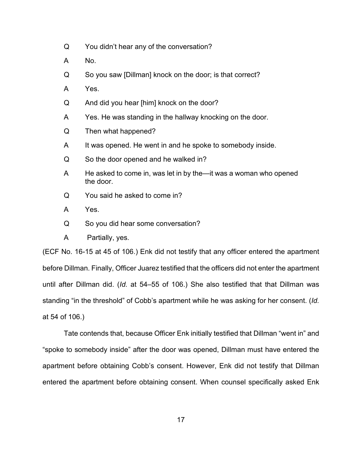- Q You didn't hear any of the conversation?
- A No.
- Q So you saw [Dillman] knock on the door; is that correct?
- A Yes.
- Q And did you hear [him] knock on the door?
- A Yes. He was standing in the hallway knocking on the door.
- Q Then what happened?
- A It was opened. He went in and he spoke to somebody inside.
- Q So the door opened and he walked in?
- A He asked to come in, was let in by the—it was a woman who opened the door.
- Q You said he asked to come in?
- A Yes.
- Q So you did hear some conversation?
- A Partially, yes.

(ECF No. 16-15 at 45 of 106.) Enk did not testify that any officer entered the apartment before Dillman. Finally, Officer Juarez testified that the officers did not enter the apartment until after Dillman did. (*Id.* at 54–55 of 106.) She also testified that that Dillman was standing "in the threshold" of Cobb's apartment while he was asking for her consent. (*Id.* at 54 of 106.)

Tate contends that, because Officer Enk initially testified that Dillman "went in" and "spoke to somebody inside" after the door was opened, Dillman must have entered the apartment before obtaining Cobb's consent. However, Enk did not testify that Dillman entered the apartment before obtaining consent. When counsel specifically asked Enk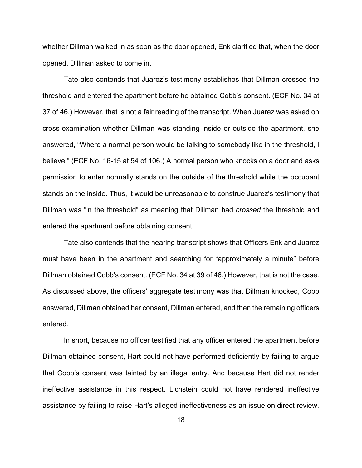whether Dillman walked in as soon as the door opened, Enk clarified that, when the door opened, Dillman asked to come in.

Tate also contends that Juarez's testimony establishes that Dillman crossed the threshold and entered the apartment before he obtained Cobb's consent. (ECF No. 34 at 37 of 46.) However, that is not a fair reading of the transcript. When Juarez was asked on cross-examination whether Dillman was standing inside or outside the apartment, she answered, "Where a normal person would be talking to somebody like in the threshold, I believe." (ECF No. 16-15 at 54 of 106.) A normal person who knocks on a door and asks permission to enter normally stands on the outside of the threshold while the occupant stands on the inside. Thus, it would be unreasonable to construe Juarez's testimony that Dillman was "in the threshold" as meaning that Dillman had *crossed* the threshold and entered the apartment before obtaining consent.

Tate also contends that the hearing transcript shows that Officers Enk and Juarez must have been in the apartment and searching for "approximately a minute" before Dillman obtained Cobb's consent. (ECF No. 34 at 39 of 46.) However, that is not the case. As discussed above, the officers' aggregate testimony was that Dillman knocked, Cobb answered, Dillman obtained her consent, Dillman entered, and then the remaining officers entered.

In short, because no officer testified that any officer entered the apartment before Dillman obtained consent, Hart could not have performed deficiently by failing to argue that Cobb's consent was tainted by an illegal entry. And because Hart did not render ineffective assistance in this respect, Lichstein could not have rendered ineffective assistance by failing to raise Hart's alleged ineffectiveness as an issue on direct review.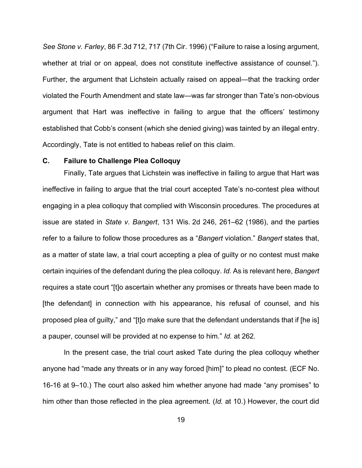*See Stone v. Farley*, 86 F.3d 712, 717 (7th Cir. 1996) ("Failure to raise a losing argument, whether at trial or on appeal, does not constitute ineffective assistance of counsel."). Further, the argument that Lichstein actually raised on appeal—that the tracking order violated the Fourth Amendment and state law—was far stronger than Tate's non-obvious argument that Hart was ineffective in failing to argue that the officers' testimony established that Cobb's consent (which she denied giving) was tainted by an illegal entry. Accordingly, Tate is not entitled to habeas relief on this claim.

## **C. Failure to Challenge Plea Colloquy**

Finally, Tate argues that Lichstein was ineffective in failing to argue that Hart was ineffective in failing to argue that the trial court accepted Tate's no-contest plea without engaging in a plea colloquy that complied with Wisconsin procedures. The procedures at issue are stated in *State v. Bangert*, 131 Wis. 2d 246, 261–62 (1986), and the parties refer to a failure to follow those procedures as a "*Bangert* violation." *Bangert* states that, as a matter of state law, a trial court accepting a plea of guilty or no contest must make certain inquiries of the defendant during the plea colloquy. *Id.* As is relevant here, *Bangert*  requires a state court "[t]o ascertain whether any promises or threats have been made to [the defendant] in connection with his appearance, his refusal of counsel, and his proposed plea of guilty," and "[t]o make sure that the defendant understands that if [he is] a pauper, counsel will be provided at no expense to him." *Id.* at 262.

In the present case, the trial court asked Tate during the plea colloquy whether anyone had "made any threats or in any way forced [him]" to plead no contest. (ECF No. 16-16 at 9–10.) The court also asked him whether anyone had made "any promises" to him other than those reflected in the plea agreement. (*Id.* at 10.) However, the court did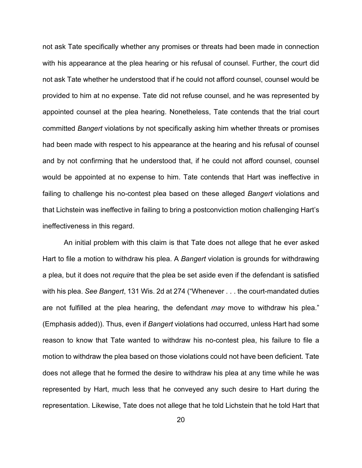not ask Tate specifically whether any promises or threats had been made in connection with his appearance at the plea hearing or his refusal of counsel. Further, the court did not ask Tate whether he understood that if he could not afford counsel, counsel would be provided to him at no expense. Tate did not refuse counsel, and he was represented by appointed counsel at the plea hearing. Nonetheless, Tate contends that the trial court committed *Bangert* violations by not specifically asking him whether threats or promises had been made with respect to his appearance at the hearing and his refusal of counsel and by not confirming that he understood that, if he could not afford counsel, counsel would be appointed at no expense to him. Tate contends that Hart was ineffective in failing to challenge his no-contest plea based on these alleged *Bangert* violations and that Lichstein was ineffective in failing to bring a postconviction motion challenging Hart's ineffectiveness in this regard.

An initial problem with this claim is that Tate does not allege that he ever asked Hart to file a motion to withdraw his plea. A *Bangert* violation is grounds for withdrawing a plea, but it does not *require* that the plea be set aside even if the defendant is satisfied with his plea. *See Bangert*, 131 Wis. 2d at 274 ("Whenever . . . the court-mandated duties are not fulfilled at the plea hearing, the defendant *may* move to withdraw his plea." (Emphasis added)). Thus, even if *Bangert* violations had occurred, unless Hart had some reason to know that Tate wanted to withdraw his no-contest plea, his failure to file a motion to withdraw the plea based on those violations could not have been deficient. Tate does not allege that he formed the desire to withdraw his plea at any time while he was represented by Hart, much less that he conveyed any such desire to Hart during the representation. Likewise, Tate does not allege that he told Lichstein that he told Hart that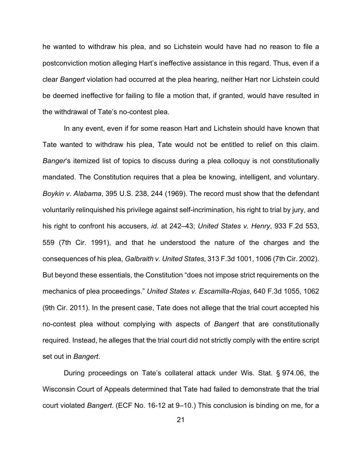he wanted to withdraw his plea, and so Lichstein would have had no reason to file a postconviction motion alleging Hart's ineffective assistance in this regard. Thus, even if a clear *Bangert* violation had occurred at the plea hearing, neither Hart nor Lichstein could be deemed ineffective for failing to file a motion that, if granted, would have resulted in the withdrawal of Tate's no-contest plea.

In any event, even if for some reason Hart and Lichstein should have known that Tate wanted to withdraw his plea, Tate would not be entitled to relief on this claim. *Banger*'s itemized list of topics to discuss during a plea colloquy is not constitutionally mandated. The Constitution requires that a plea be knowing, intelligent, and voluntary. *Boykin v. Alabama*, 395 U.S. 238, 244 (1969). The record must show that the defendant voluntarily relinquished his privilege against self-incrimination, his right to trial by jury, and his right to confront his accusers, *id.* at 242–43; *United States v. Henry*, 933 F.2d 553, 559 (7th Cir. 1991), and that he understood the nature of the charges and the consequences of his plea, *Galbraith v. United States*, 313 F.3d 1001, 1006 (7th Cir. 2002). But beyond these essentials, the Constitution "does not impose strict requirements on the mechanics of plea proceedings." *United States v. Escamilla-Rojas*, 640 F.3d 1055, 1062 (9th Cir. 2011). In the present case, Tate does not allege that the trial court accepted his no-contest plea without complying with aspects of *Bangert* that are constitutionally required. Instead, he alleges that the trial court did not strictly comply with the entire script set out in *Bangert*.

During proceedings on Tate's collateral attack under Wis. Stat. § 974.06, the Wisconsin Court of Appeals determined that Tate had failed to demonstrate that the trial court violated *Bangert*. (ECF No. 16-12 at 9–10.) This conclusion is binding on me, for a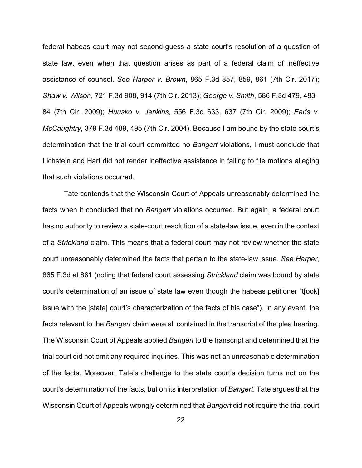federal habeas court may not second-guess a state court's resolution of a question of state law, even when that question arises as part of a federal claim of ineffective assistance of counsel. *See Harper v. Brown*, 865 F.3d 857, 859, 861 (7th Cir. 2017); *Shaw v. Wilson*, 721 F.3d 908, 914 (7th Cir. 2013); *George v. Smith*, 586 F.3d 479, 483– 84 (7th Cir. 2009); *Huusko v. Jenkins*, 556 F.3d 633, 637 (7th Cir. 2009); *Earls v. McCaughtry*, 379 F.3d 489, 495 (7th Cir. 2004). Because I am bound by the state court's determination that the trial court committed no *Bangert* violations, I must conclude that Lichstein and Hart did not render ineffective assistance in failing to file motions alleging that such violations occurred.

Tate contends that the Wisconsin Court of Appeals unreasonably determined the facts when it concluded that no *Bangert* violations occurred. But again, a federal court has no authority to review a state-court resolution of a state-law issue, even in the context of a *Strickland* claim. This means that a federal court may not review whether the state court unreasonably determined the facts that pertain to the state-law issue. *See Harper*, 865 F.3d at 861 (noting that federal court assessing *Strickland* claim was bound by state court's determination of an issue of state law even though the habeas petitioner "t[ook] issue with the [state] court's characterization of the facts of his case"). In any event, the facts relevant to the *Bangert* claim were all contained in the transcript of the plea hearing. The Wisconsin Court of Appeals applied *Bangert* to the transcript and determined that the trial court did not omit any required inquiries. This was not an unreasonable determination of the facts. Moreover, Tate's challenge to the state court's decision turns not on the court's determination of the facts, but on its interpretation of *Bangert*. Tate argues that the Wisconsin Court of Appeals wrongly determined that *Bangert* did not require the trial court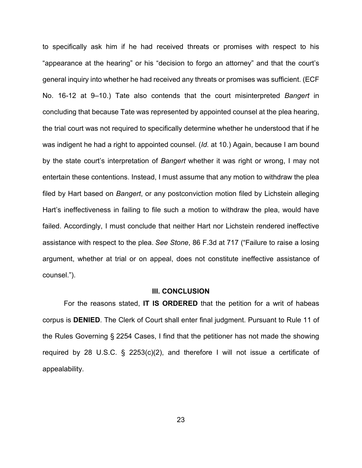to specifically ask him if he had received threats or promises with respect to his "appearance at the hearing" or his "decision to forgo an attorney" and that the court's general inquiry into whether he had received any threats or promises was sufficient. (ECF No. 16-12 at 9–10.) Tate also contends that the court misinterpreted *Bangert* in concluding that because Tate was represented by appointed counsel at the plea hearing, the trial court was not required to specifically determine whether he understood that if he was indigent he had a right to appointed counsel. (*Id.* at 10.) Again, because I am bound by the state court's interpretation of *Bangert* whether it was right or wrong, I may not entertain these contentions. Instead, I must assume that any motion to withdraw the plea filed by Hart based on *Bangert*, or any postconviction motion filed by Lichstein alleging Hart's ineffectiveness in failing to file such a motion to withdraw the plea, would have failed. Accordingly, I must conclude that neither Hart nor Lichstein rendered ineffective assistance with respect to the plea. *See Stone*, 86 F.3d at 717 ("Failure to raise a losing argument, whether at trial or on appeal, does not constitute ineffective assistance of counsel.").

## **III. CONCLUSION**

For the reasons stated, **IT IS ORDERED** that the petition for a writ of habeas corpus is **DENIED**. The Clerk of Court shall enter final judgment. Pursuant to Rule 11 of the Rules Governing § 2254 Cases, I find that the petitioner has not made the showing required by 28 U.S.C. § 2253(c)(2), and therefore I will not issue a certificate of appealability.

23